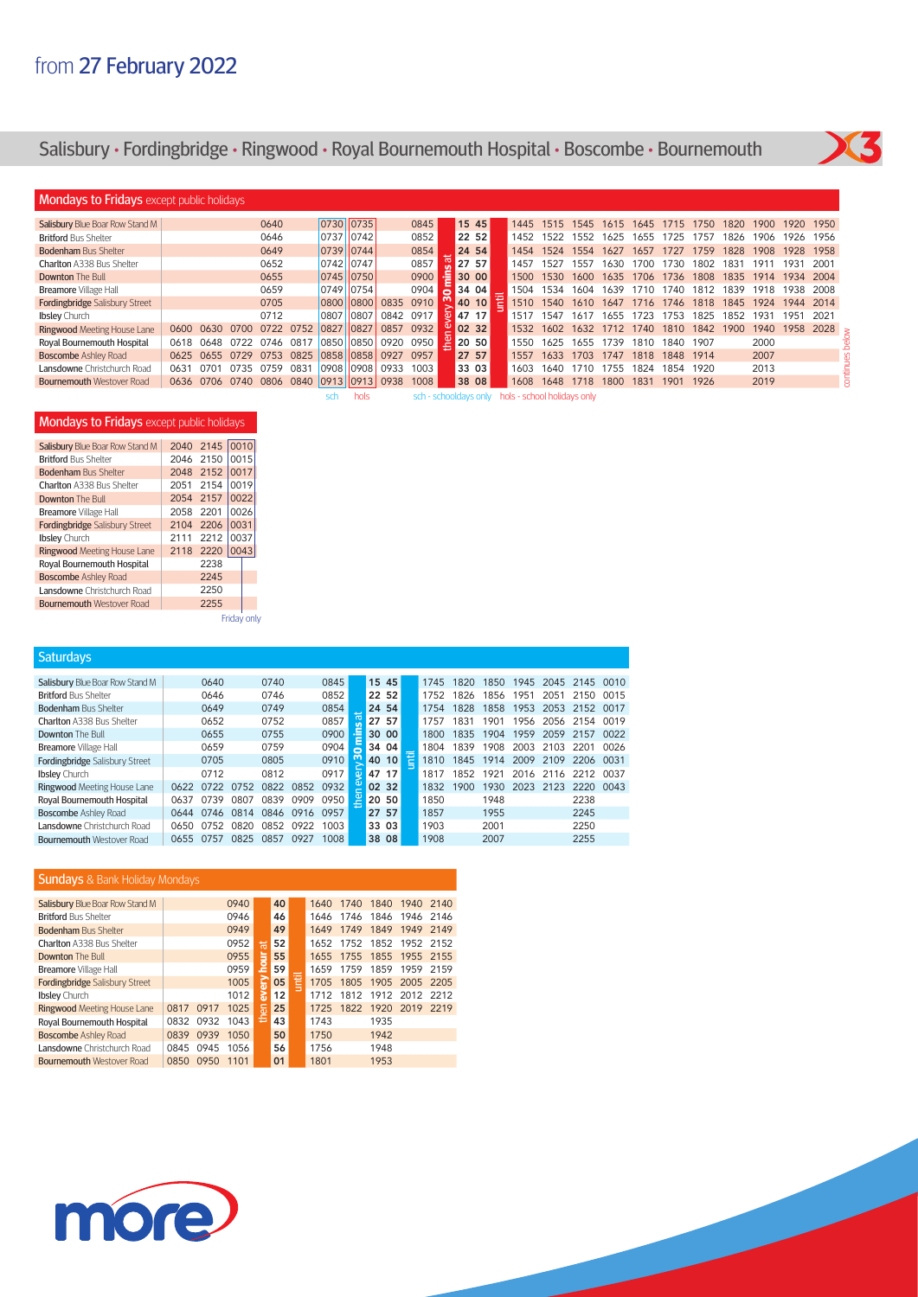# Salisbury **•** Fordingbridge **•** Ringwood **•** Royal Bournemouth Hospital **•** Boscombe **•** Bournemouth



### **Mondays to Fridays** except public holidays

| Salisbury Blue Boar Row Stand M       |           |      |      | 0640 |      |           | 0730 0735 |      | 0845                  |    |                      | 15 45 |            | 1445                        | 1515 | 1545 | 1615 | 1645 | 1715 | 1750 | 1820 | 1900  | 1920. | 1950 |
|---------------------------------------|-----------|------|------|------|------|-----------|-----------|------|-----------------------|----|----------------------|-------|------------|-----------------------------|------|------|------|------|------|------|------|-------|-------|------|
| <b>Britford Bus Shelter</b>           |           |      |      | 0646 |      | 0737      | 10742     |      | 0852                  |    |                      | 22 52 |            | 1452                        | 1522 | 1552 | 1625 | 1655 | 1725 | 175/ | 1826 | 1906  | 1926  | 1956 |
| <b>Bodenham Bus Shelter</b>           |           |      |      | 0649 |      | 0739 0744 |           |      | 0854                  |    | 24 54                |       |            | 1454                        | 1524 | 1554 | 1627 | 1657 | 1727 | 1759 | 1828 | 1908  | 1928  | 1958 |
| <b>Charlton A338 Bus Shelter</b>      |           |      |      | 0652 |      | 0742 0747 |           |      | 0857                  |    | 27 57                |       |            | 1457                        | 1527 | 1557 | 1630 | 1700 | 1730 | 1802 | 1831 | 191   | 1931  | 2001 |
| <b>Downton The Bull</b>               |           |      |      | 0655 |      |           | 0745 0750 |      | 0900                  | ∙≡ | 30 00                |       |            | 1500                        | 1530 | 1600 | 1635 | 1706 | 1736 | 1808 | 1835 | 1914  | 1934  | 2004 |
| <b>Breamore</b> Village Hall          |           |      |      | 0659 |      |           | 0749 0754 |      | 0904                  |    | 34 04                |       |            | 1504                        | 1534 | 1604 | 1639 | 710  | 1740 | 1812 | 1839 | 1918. | 1938  | 2008 |
| <b>Fordingbridge Salisbury Street</b> |           |      |      | 0705 |      | 0800      | 10800     | 0835 | 0910                  |    | 40 10                |       | <b>TEC</b> | 1510                        | 1540 | 1610 | 1647 | 1716 | 1746 | 1818 | 1845 | 1924  | 1944  | 2014 |
| <b>Ibsley</b> Church                  |           |      |      | 0712 |      | 0807      | 0807      | 0842 | 0917                  |    | $\overline{0}$ 47 17 |       |            | 1517                        | 1547 | 161  | 1655 | 1723 | 1753 | 1825 | 1852 | 1931  | 1951  | 2021 |
| <b>Ringwood Meeting House Lane</b>    | 0600      | 0630 | 0700 | 0722 | 0752 | 0827      | 0827      | 0857 | 0932                  |    | 90232                |       |            | 1532                        | 1602 | 1632 | 1712 | 1740 | 1810 | 1842 | 1900 | 1940  | 1958  | 2028 |
| <b>Roval Bournemouth Hospital</b>     | 0618      | 0648 | 0722 | 0746 | 081  | 0850      | 10850     | 0920 | 0950                  |    | 20 50                |       |            | 1550                        | 1625 | 1655 | 1739 | 1810 | 1840 | 1907 |      | 2000  |       |      |
| <b>Boscombe Ashley Road</b>           | 0625 0655 |      | 0729 | 0753 | 0825 | 0858      | 0858      | 0927 | 0957                  |    | 27 57                |       |            | 1557                        | 1633 | 1703 | 1747 | 1818 | 1848 | 1914 |      | 2007  |       |      |
| <b>Lansdowne</b> Christchurch Road    | 0631      | 0701 | 0735 | 0759 | 0831 | 0908      | 10908     | 0933 | 1003                  |    | 33 03                |       |            | 1603                        | 1640 | 1710 | 1755 | 1824 | 1854 | 1920 |      | 2013  |       |      |
| <b>Bournemouth Westover Road</b>      | 0636 0706 |      | 0740 | 0806 | 0840 | 0913      | 0913      | 0938 | 1008                  |    | 38 08                |       |            | 1608                        | 1648 | 1718 | 1800 | 1831 | 1901 | 1926 |      | 2019  |       |      |
|                                       |           |      |      |      |      | sch       | hols      |      | sch - schooldays only |    |                      |       |            | hols - school holidays only |      |      |      |      |      |      |      |       |       |      |

### **Mondays to Fridays** except public holidays

| Salisbury Blue Boar Row Stand M       | 2040 | 2145 | 0010  |  |
|---------------------------------------|------|------|-------|--|
| <b>Britford Bus Shelter</b>           | 2046 | 2150 | 0015  |  |
| <b>Bodenham Bus Shelter</b>           | 2048 | 2152 | 0017  |  |
| Charlton A338 Bus Shelter             | 2051 | 2154 | 0019  |  |
| Downton The Bull                      | 2054 | 2157 | 0022  |  |
| <b>Breamore</b> Village Hall          | 2058 | 2201 | 0026  |  |
| <b>Fordingbridge Salisbury Street</b> | 2104 | 2206 | 0031  |  |
| <b>Ibsley</b> Church                  | 2111 | 2212 | 0037  |  |
| <b>Ringwood Meeting House Lane</b>    | 2118 | 2220 | 0043  |  |
| Royal Bournemouth Hospital            |      | 2238 |       |  |
| <b>Boscombe Ashley Road</b>           |      | 2245 |       |  |
| Lansdowne Christchurch Road           |      | 2250 |       |  |
| <b>Bournemouth Westover Road</b>      |      | 2255 |       |  |
|                                       |      |      | - - - |  |

Friday only

| <b>Saturdays</b>                      |      |      |      |      |      |      |                |       |   |      |      |      |      |      |      |      |
|---------------------------------------|------|------|------|------|------|------|----------------|-------|---|------|------|------|------|------|------|------|
|                                       |      |      |      |      |      |      |                |       |   |      |      |      |      |      |      |      |
| Salisbury Blue Boar Row Stand M       |      | 0640 |      | 0740 |      | 0845 |                | 15 45 |   | 1745 | 1820 | 1850 | 1945 | 2045 | 2145 | 0010 |
| <b>Britford Bus Shelter</b>           |      | 0646 |      | 0746 |      | 0852 |                | 22 52 |   | 1752 | 1826 | 1856 | 1951 | 2051 | 2150 | 0015 |
| <b>Bodenham Bus Shelter</b>           |      | 0649 |      | 0749 |      | 0854 |                | 24 54 |   | 1754 | 1828 | 1858 | 1953 | 2053 | 2152 | 0017 |
| Charlton A338 Bus Shelter             |      | 0652 |      | 0752 |      | 0857 | $\overline{a}$ | 27 57 |   | 1757 | 1831 | 1901 | 1956 | 2056 | 2154 | 0019 |
| <b>Downton The Bull</b>               |      | 0655 |      | 0755 |      | 0900 | ≞              | 30 00 |   | 1800 | 1835 | 1904 | 1959 | 2059 | 2157 | 0022 |
| <b>Breamore</b> Village Hall          |      | 0659 |      | 0759 |      | 0904 | ō              | 34 04 |   | 1804 | 1839 | 1908 | 2003 | 2103 | 2201 | 0026 |
| <b>Fordingbridge Salisbury Street</b> |      | 0705 |      | 0805 |      | 0910 | m              | 40 10 | ħ | 1810 | 1845 | 1914 | 2009 | 2109 | 2206 | 0031 |
| <b>Ibsley</b> Church                  |      | 0712 |      | 0812 |      | 0917 | $\mathbf{Q}$   | 47 17 |   | 1817 | 1852 | 1921 | 2016 | 2116 | 2212 | 0037 |
| Ringwood Meeting House Lane           | 0622 | 0722 | 0752 | 0822 | 0852 | 0932 | $\sigma$       | 02 32 |   | 1832 | 1900 | 1930 | 2023 | 2123 | 2220 | 0043 |
| Royal Bournemouth Hospital            | 0637 | 0739 | 0807 | 0839 | 0909 | 0950 | Le             | 20 50 |   | 1850 |      | 1948 |      |      | 2238 |      |
| <b>Boscombe Ashley Road</b>           | 0644 | 0746 | 0814 | 0846 | 0916 | 0957 |                | 27 57 |   | 1857 |      | 1955 |      |      | 2245 |      |
| Lansdowne Christchurch Road           | 0650 | 0752 | 0820 | 0852 | 0922 | 1003 |                | 33 03 |   | 1903 |      | 2001 |      |      | 2250 |      |
| <b>Bournemouth Westover Road</b>      | 0655 | 0757 | 0825 | 0857 | 0927 | 1008 |                | 38 08 |   | 1908 |      | 2007 |      |      | 2255 |      |

### **Sundays** & Bank Holiday Mondays

| <b>Salisbury Blue Boar Row Stand M</b> |      |      | 0940 |      | 40 |   | 1640 | 1740 | 1840 | 1940      | 2140 |
|----------------------------------------|------|------|------|------|----|---|------|------|------|-----------|------|
| <b>Britford Bus Shelter</b>            |      |      | 0946 |      | 46 |   | 1646 | 1746 | 1846 | 1946 2146 |      |
| <b>Bodenham Bus Shelter</b>            |      |      | 0949 |      | 49 |   | 1649 | 1749 | 1849 | 1949      | 2149 |
| Charlton A338 Bus Shelter              |      |      | 0952 | ਜ਼   | 52 |   | 1652 | 1752 | 1852 | 1952 2152 |      |
| Downton The Bull                       |      |      | 0955 | hour | 55 |   | 1655 | 1755 | 1855 | 1955 2155 |      |
| <b>Breamore</b> Village Hall           |      |      | 0959 |      | 59 |   | 1659 | 1759 | 1859 | 1959      | 2159 |
| <b>Fordingbridge Salisbury Street</b>  |      |      | 1005 | E    | 05 | Ē | 1705 | 1805 | 1905 | 2005      | 2205 |
| <b>Ibsley</b> Church                   |      |      | 1012 | នី   | 12 |   | 1712 | 1812 | 1912 | 2012 2212 |      |
| <b>Ringwood Meeting House Lane</b>     | 0817 | 0917 | 1025 | 듦    | 25 |   | 1725 | 1822 | 1920 | 2019      | 2219 |
| <b>Royal Bournemouth Hospital</b>      | 0832 | 0932 | 1043 | 옴    | 43 |   | 1743 |      | 1935 |           |      |
| <b>Boscombe Ashley Road</b>            | 0839 | 0939 | 1050 |      | 50 |   | 1750 |      | 1942 |           |      |
| <b>Lansdowne</b> Christchurch Road     | 0845 | 0945 | 1056 |      | 56 |   | 1756 |      | 1948 |           |      |
| <b>Bournemouth Westover Road</b>       | 0850 | 0950 | 1101 |      | 01 |   | 1801 |      | 1953 |           |      |